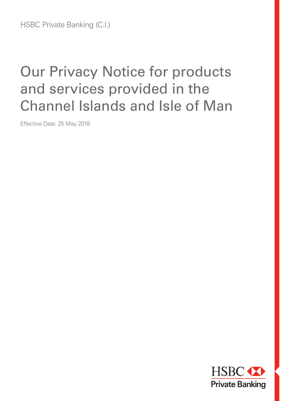# Our Privacy Notice for products and services provided in the Channel Islands and Isle of Man

Effective Date: 25 May 2018

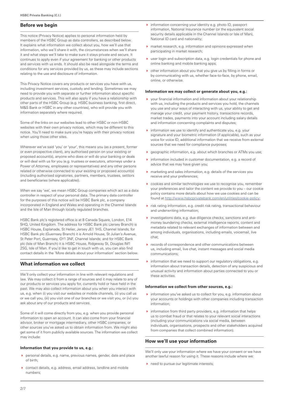# **Before we begin**

This notice (Privacy Notice) applies to personal information held by members of the HSBC Group as data controllers, as described below. It explains what information we collect about you, how we'll use that information, who we'll share it with, the circumstances when we'll share it and what steps we'll take to make sure it stays private and secure. It continues to apply even if your agreement for banking or other products and services with us ends. It should also be read alongside the terms and conditions for any services provided by us, as these may include sections relating to the use and disclosure of information.

This Privacy Notice covers any products or services you have with us, including investment services, custody and lending. Sometimes we may need to provide you with separate or further information about specific products and services. This will also apply if you have a relationship with other parts of the HSBC Group (e.g. HSBC business banking, first direct, M&S Bank or HSBC in any other countries), who will provide you with information separately where required.

Some of the links on our websites lead to other HSBC or non-HSBC websites with their own privacy notices, which may be different to this notice. You'll need to make sure you're happy with their privacy notices when using those other sites.

Wherever we've said 'you' or 'your', this means you (as a present, former or even prospective client), any authorised person on your existing or proposed account(s), anyone who does or will do your banking or deals or will deal with us for you (e.g. trustees or executors, attorneys under a Power of Attorney, employees or representatives) and any other persons related or otherwise connected to your existing or proposed account(s) (including authorised signatories, partners, members, trustees, settlors and beneficiaries (where applicable)).

When we say 'we', we mean HSBC Group companies which act as a data controller in respect of your personal data. The primary data controller for the purposes of this notice will be HSBC Bank plc, a company incorporated in England and Wales and operating in the Channel Islands and the Isle of Man through locally regulated branches.

HSBC Bank plc's registered office is at 8 Canada Square, London, E14 5HQ, United Kingdom. The address for HSBC Bank plc (Jersey Branch) is HSBC House, Esplanade, St Helier, Jersey JE1 1HS, Channel Islands; for HSBC Bank plc (Guernsey Branch) it is Arnold House, St Julian's Avenue, St Peter Port, Guernsey, GY1 3NF, Channel Islands; and for HSBC Bank plc (Isle of Man Branch) it is HSBC House, Ridgeway St, Douglas IM1 2SG, Isle of Man. If you'd like to get in touch with us, you can also find contact details in the 'More details about your information' section below.

# **What information we collect**

We'll only collect your information in line with relevant regulations and law. We may collect it from a range of sources and it may relate to any of our products or services you apply for, currently hold or have held in the past. We may also collect information about you when you interact with us, e.g. when (i) you visit our websites or mobile channels, (ii) you call us or we call you, (iii) you visit one of our branches or we visit you, or (iv) you ask about any of our products and services.

Some of it will come directly from you, e.g. when you provide personal information to open an account. It can also come from your financial advisor, broker or mortgage intermediary, other HSBC companies, or other sources you've asked us to obtain information from. We might also get some of it from publicly available sources. The information we collect may include:

#### **Information that you provide to us, e.g.:**

- personal details, e.g. name, previous names, gender, date and place of birth;
- contact details, e.g. address, email address, landline and mobile numbers;
- information concerning your identity e.g. photo ID, passport information, National Insurance number (or the equivalent social security details applicable in the Channel Islands or Isle of Man), National ID card and nationality;
- market research, e.g. information and opinions expressed when participating in market research;
- user login and subscription data, e.g. login credentials for phone and online banking and mobile banking apps;
- other information about you that you give us by filling in forms or by communicating with us, whether face-to-face, by phone, email, online, or otherwise.

## **Information we may collect or generate about you, e.g.:**

- your financial information and information about your relationship with us, including the products and services you hold, the channels you use and your ways of interacting with us, your ability to get and manage your credit, your payment history, transactions records, market trades, payments into your account including salary details and information concerning complaints and disputes;
- $\triangleright$  information we use to identify and authenticate you, e.g. your signature and your biometric information (if applicable), such as your voice for voice ID, additional information that we receive from external sources that we need for compliance purposes;
- ▶ geographic information, e.g. about which branches or ATMs you use;
- information included in customer documentation, e.g. a record of advice that we may have given you;
- $\triangleright$  marketing and sales information, e.g. details of the services you receive and your preferences;
- cookies and similar technologies we use to recognise you, remember your preferences and tailor the content we provide to you – our cookie policy contains more details about how we use cookies and can be found at http://www.hsbcprivatebank.com/en/utilities/cookie-policy;
- risk rating information, e.g. credit risk rating, transactional behaviour and underwriting information;
- investigations data, e.g. due diligence checks, sanctions and antimoney laundering checks, external intelligence reports, content and metadata related to relevant exchanges of information between and among individuals, organisations, including emails, voicemail, live chat;
- records of correspondence and other communications between us, including email, live chat, instant messages and social media communications;
- $\blacktriangleright$  information that we need to support our regulatory obligations, e.g. information about transaction details, detection of any suspicious and unusual activity and information about parties connected to you or these activities.

#### **Information we collect from other sources, e.g.:**

- **information you've asked us to collect for you, e.g. information about** your accounts or holdings with other companies including transaction information;
- $\rightarrow$  information from third party providers, e.g. information that helps us to combat fraud or that relates to your relevant social interactions (including your communications via social media, between individuals, organisations, prospects and other stakeholders acquired from companies that collect combined information).

## **How we'll use your information**

We'll only use your information where we have your consent or we have another lawful reason for using it. These reasons include where we:

need to pursue our legitimate interests: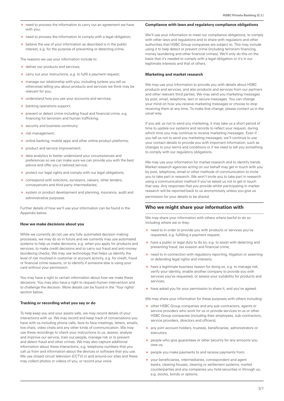- need to process the information to carry out an agreement we have with you;
- ▶ need to process the information to comply with a legal obligation;
- $\rightarrow$  believe the use of your information as described is in the public interest, e.g. for the purpose of preventing or detecting crime.

The reasons we use your information include to:

- ▶ deliver our products and services;
- carry out your instructions, e.g. to fulfil a payment request;
- manage our relationship with you, including (unless you tell us otherwise) telling you about products and services we think may be relevant for you;
- understand how you use your accounts and services;
- $\blacktriangleright$  banking operations support;
- **P** prevent or detect crime including fraud and financial crime, e.g. financing for terrorism and human trafficking;
- security and business continuity;
- risk management;
- online banking, mobile apps and other online product platforms;
- product and service improvement;
- data analytics to better understand your circumstances and preferences so we can make sure we can provide you with the best advice and offer you a tailored service;
- protect our legal rights and comply with our legal obligations;
- correspond with solicitors, surveyors, valuers, other lenders, conveyancers and third party intermediaries;
- system or product development and planning, insurance, audit and administrative purposes.

Further details of how we'll use your information can be found in the Appendix below.

#### **How we make decisions about you**

While we currently do not use any fully automated decision making processes, we may do so in future and we currently may use automated systems to help us make decisions, e.g. when you apply for products and services, to make credit decisions and to carry out fraud and anti-money laundering checks. We may use technology that helps us identify the level of risk involved in customer or account activity, e.g. for credit, fraud or financial crime reasons, or to identify if someone else is using your card without your permission.

You may have a right to certain information about how we make these decisions. You may also have a right to request human intervention and to challenge the decision. More details can be found in the 'Your rights' section below.

#### **Tracking or recording what you say or do**

To help keep you and your assets safe, we may record details of your interactions with us. We may record and keep track of conversations you have with us including phone calls, face-to-face meetings, letters, emails, live chats, video chats and any other kinds of communication. We may use these recordings to check your instructions to us, assess, analyse and improve our service, train our people, manage risk or to prevent and detect fraud and other crimes. We may also capture additional information about these interactions, e.g. telephone numbers that you call us from and information about the devices or software that you use. We use closed circuit television (CCTV) in and around our sites and these may collect photos or videos of you, or record your voice.

#### **Compliance with laws and regulatory compliance obligations**

We'll use your information to meet our compliance obligations, to comply with other laws and regulations and to share with regulators and other authorities that HSBC Group companies are subject to. This may include using it to help detect or prevent crime (including terrorism financing, money laundering and other financial crimes). We'll only do this on the basis that it's needed to comply with a legal obligation or it's in our legitimate interests and that of others.

#### **Marketing and market research**

We may use your information to provide you with details about HSBC products and services, and also products and services from our partners and other relevant third parties. We may send you marketing messages by post, email, telephone, text or secure messages. You can change your mind on how you receive marketing messages or choose to stop receiving them at any time. To make that change, please contact us in the usual way.

If you ask us not to send you marketing, it may take us a short period of time to update our systems and records to reflect your request, during which time you may continue to receive marketing messages. Even if you tell us not to send you marketing messages, we'll continue to use your contact details to provide you with important information, such as changes to your terms and conditions or if we need to tell you something to comply with our regulatory obligations.

We may use your information for market research and to identify trends. Market research agencies acting on our behalf may get in touch with you by post, telephone, email or other methods of communication to invite you to take part in research. We won't invite you to take part in research using a communication method if you've asked us not to get in touch that way. Any responses that you provide whilst participating in market research will be reported back to us anonymously unless you give us permission for your details to be shared.

## **Who we might share your information with**

We may share your information with others where lawful to do so including where we or they:

- ▶ need to in order to provide you with products or services you've requested, e.g. fulfilling a payment request;
- $\blacktriangleright$  have a public or legal duty to do so, e.g. to assist with detecting and preventing fraud, tax evasion and financial crime;
- ▶ need to in connection with regulatory reporting, litigation or asserting or defending legal rights and interests;
- $\blacktriangleright$  have a legitimate business reason for doing so, e.g. to manage risk, verify your identity, enable another company to provide you with services you've requested, or assess your suitability for products and services;
- have asked you for your permission to share it, and you've agreed.

We may share your information for these purposes with others including:

- other HSBC Group companies and any sub-contractors, agents or service providers who work for us or provide services to us or other HSBC Group companies (including their employees, sub-contractors, service providers, directors and officers);
- any joint account holders, trustees, beneficiaries, administrators or executors;
- people who give guarantees or other security for any amounts you owe us;
- people you make payments to and receive payments from;
- your beneficiaries, intermediaries, correspondent and agent banks, clearing houses, clearing or settlement systems, market counterparties and any companies you hold securities in through us, e.g. stocks, bonds or options;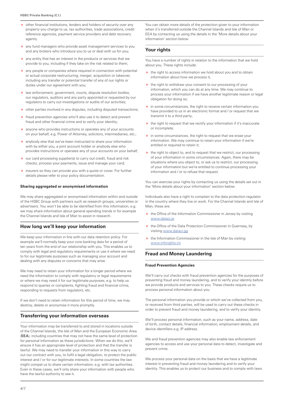- other financial institutions, lenders and holders of security over any property you charge to us, tax authorities, trade associations, credit reference agencies, payment service providers and debt recovery agents;
- any fund managers who provide asset management services to you and any brokers who introduce you to us or deal with us for you;
- any entity that has an interest in the products or services that we provide to you, including if they take on the risk related to them;
- any people or companies where required in connection with potential or actual corporate restructuring, merger, acquisition or takeover, including any transfer or potential transfer of any of our rights or duties under our agreement with you;
- law enforcement, government, courts, dispute resolution bodies, our regulators, auditors and any party appointed or requested by our regulators to carry out investigations or audits of our activities;
- other parties involved in any disputes, including disputed transactions;
- fraud prevention agencies who'll also use it to detect and prevent fraud and other financial crime and to verify your identity;
- anyone who provides instructions or operates any of your accounts on your behalf, e.g. Power of Attorney, solicitors, intermediaries, etc.;
- anybody else that we've been instructed to share your information with by either you, a joint account holder or anybody else who provides instructions or operates any of your accounts on your behalf;
- our card processing supplier(s) to carry out credit, fraud and risk checks, process your payments, issue and manage your card;
- insurers so they can provide you with a quote or cover. For further details please refer to your policy documentation.

#### **Sharing aggregated or anonymised information**

We may share aggregated or anonymised information within and outside of the HSBC Group with partners such as research groups, universities or advertisers. You won't be able to be identified from this information, e.g. we may share information about general spending trends in for example the Channel Islands and Isle of Man to assist in research.

## **How long we'll keep your information**

We keep your information in line with our data retention policy. For example we'll normally keep your core banking data for a period of ten years from the end of our relationship with you. This enables us to comply with legal and regulatory requirements or use it where we need to for our legitimate purposes such as managing your account and dealing with any disputes or concerns that may arise.

We may need to retain your information for a longer period where we need the information to comply with regulatory or legal requirements or where we may need it for our legitimate purposes, e.g. to help us respond to queries or complaints, fighting fraud and financial crime, responding to requests from regulators, etc.

If we don't need to retain information for this period of time, we may destroy, delete or anonymise it more promptly.

## **Transferring your information overseas**

Your information may be transferred to and stored in locations outside of the Channel Islands, the Isle of Man and the European Economic Area (EEA), including countries that may not have the same level of protection for personal information as these jurisdictions. When we do this, we'll ensure it has an appropriate level of protection and that the transfer is lawful. We may need to transfer your information in this way to carry out our contract with you, to fulfil a legal obligation, to protect the public interest and / or for our legitimate interests. In some countries the law might compel us to share certain information, e.g. with tax authorities. Even in these cases, we'll only share your information with people who have the lawful authority to see it.

You can obtain more details of the protection given to your information when it's transferred outside the Channel Islands and Isle of Man or EEA by contacting us using the details in the 'More details about your information' section below.

# **Your rights**

You have a number of rights in relation to the information that we hold about you. These rights include:

- $\rightarrow$  the right to access information we hold about you and to obtain information about how we process it;
- $\rightarrow$  the right to withdraw your consent to our processing of your information, which you can do at any time. We may continue to process your information if we have another legitimate reason or legal obligation for doing so;
- $\blacktriangleright$  in some circumstances, the right to receive certain information you have provided to us in an electronic format and / or request that we transmit it to a third party;
- $\blacktriangleright$  the right to request that we rectify your information if it's inaccurate or incomplete;
- $\blacktriangleright$  in some circumstances, the right to request that we erase your information. We may continue to retain your information if we're entitled or required to retain it;
- $\rightarrow$  the right to object to, and to request that we restrict, our processing of your information in some circumstances. Again, there may be situations where you object to, or ask us to restrict, our processing of your information but we're entitled to continue processing your information and / or to refuse that request.

You can exercise your rights by contacting us using the details set out in the 'More details about your information' section below.

Individuals also have a right to complain to the data protection regulator in the country where they live or work. For the Channel Islands and Isle of Man, these are:

- ▶ the Office of the Information Commissioner in Jersey by visiting www.dataci.je
- ▶ the Office of the Data Protection Commissioner in Guernsey, by visiting www.dataci.gg
- $\rightarrow$  the Information Commissioner in the Isle of Man by visiting www.inforights.im

# **Fraud and Money Laundering**

## **Fraud Prevention Agencies**

We'll carry out checks with fraud prevention agencies for the purposes of preventing fraud and money laundering, and to verify your identity before we provide products and services to you. These checks require us to process personal information about you.

The personal information you provide or which we've collected from you, or received from third parties, will be used to carry out these checks in order to prevent fraud and money laundering, and to verify your identity.

We'll process personal information, such as your name, address, date of birth, contact details, financial information, employment details, and device identifiers e.g. IP address.

We and fraud prevention agencies may also enable law enforcement agencies to access and use your personal data to detect, investigate and prevent crime.

We process your personal data on the basis that we have a legitimate interest in preventing fraud and money laundering and to verify your identity. This enables us to protect our business and to comply with laws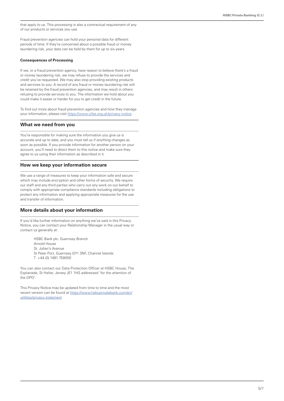that apply to us. This processing is also a contractual requirement of any of our products or services you use.

Fraud prevention agencies can hold your personal data for different periods of time. If they're concerned about a possible fraud or money laundering risk, your data can be held by them for up to six years.

## **Consequences of Processing**

If we, or a fraud prevention agency, have reason to believe there's a fraud or money laundering risk, we may refuse to provide the services and credit you've requested. We may also stop providing existing products and services to you. A record of any fraud or money laundering risk will be retained by the fraud prevention agencies, and may result in others refusing to provide services to you. The information we hold about you could make it easier or harder for you to get credit in the future.

To find out more about fraud prevention agencies and how they manage your information, please visit https://www.cifas.org.uk/privacy-notice.

## **What we need from you**

You're responsible for making sure the information you give us is accurate and up to date, and you must tell us if anything changes as soon as possible. If you provide information for another person on your account, you'll need to direct them to this notice and make sure they agree to us using their information as described in it.

## **How we keep your information secure**

We use a range of measures to keep your information safe and secure which may include encryption and other forms of security. We require our staff and any third parties who carry out any work on our behalf to comply with appropriate compliance standards including obligations to protect any information and applying appropriate measures for the use and transfer of information.

# **More details about your information**

If you'd like further information on anything we've said in this Privacy Notice, you can contact your Relationship Manager in the usual way or contact us generally at:

> HSBC Bank plc. Guernsey Branch Arnold House St. Julian's Avenue St Peter Port, Guernsey GY1 3NF, Channel Islands T +44 (0) 1481 759000

You can also contact our Data Protection Officer at HSBC House, The Esplanade, St Helier, Jersey JE1 1HS addressed 'for the attention of the DPO'.

This Privacy Notice may be updated from time to time and the most recent version can be found at https://www.hsbcprivatebank.com/en/ utilities/privacy-statement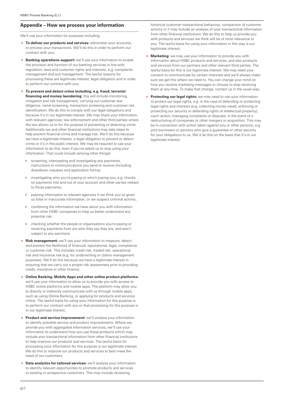# **Appendix – How we process your information**

We'll use your information for purposes including:

- **To deliver our products and services:** administer your accounts, or process your transactions. We'll do this in order to perform our contract with you;
- **Banking operations support:** we'll use your information to enable the provision and function of our banking services in line with regulation, laws and customer rights and interests, e.g. complaints management and exit management. The lawful reasons for processing these are legitimate interest, legal obligation and in order to perform our contract with you;
- **To prevent and detect crime including, e.g. fraud, terrorist financing and money laundering:** this will include monitoring, mitigation and risk management, carrying out customer due diligence, name screening, transaction screening and customer risk identification. We do this to comply with our legal obligations and because it's in our legitimate interest. We may share your information with relevant agencies, law enforcement and other third parties where the law allows us to for the purpose of preventing or detecting crime. Additionally we and other financial institutions may take steps to help prevent financial crime and manage risk. We'll do this because we have a legitimate interest, a legal obligation to prevent or detect crime or it's in the public interest. We may be required to use your information to do this, even if you've asked us to stop using your information. That could include (among other things):
	- screening, intercepting and investigating any payments, instructions or communications you send or receive (including drawdown requests and application forms);
	- investigating who you're paying or who's paying you, e.g. checks on payments into and out of your account and other parties related to those payments;
	- passing information to relevant agencies if we think you've given us false or inaccurate information, or we suspect criminal activity;
	- combining the information we have about you with information from other HSBC companies to help us better understand any potential risk;
- checking whether the people or organisations you're paying or receiving payments from are who they say they are, and aren't subject to any sanctions
- **Risk management:** we'll use your information to measure, detect and prevent the likelihood of financial, reputational, legal, compliance or customer risk. This includes credit risk, traded risk, operational risk and insurance risk (e.g. for underwriting or claims management purposes). We'll do this because we have a legitimate interest in ensuring that we carry out a proper risk assessment prior to providing credit, insurance or other finance;
- **Online Banking, Mobile Apps and other online product platforms:**  we'll use your information to allow us to provide you with access to HSBC online platforms and mobile apps. The platform may allow you to directly or indirectly communicate with us through mobile apps, such as using Online Banking, or applying for products and services online. The lawful basis for using your information for this purpose is to perform our contract with you or that processing for this purpose is in our legitimate interest;
- **Product and service improvement:** we'll analyse your information to identify possible service and product improvements. Where we provide you with aggregated information services, we'll use your information to understand how you use these products which may include your transactional information from other financial institutions to help improve our products and services. The lawful basis for processing your information for this purpose is our legitimate interest. We do this to improve our products and services to best meet the need of our customers;
- **Data analytics for tailored services:** we'll analyse your information to identify relevant opportunities to promote products and services to existing or prospective customers. This may include reviewing

historical customer transactional behaviour, comparison of customer activity or it may include an analysis of your transactional information from other financial institutions. We do this to help us provide you with products and services we think will be of most relevance to you. The lawful basis for using your information in this way is our legitimate interest:

- **Marketing:** we may use your information to provide you with information about HSBC products and services, and also products and services from our partners and other relevant third parties. The lawful basis for this is our legitimate interest. We may need your consent to communicate by certain channels and we'll always make sure we get this where we need to. You can change your mind on how you receive marketing messages or choose to stop receiving them at any time. To make that change, contact us in the usual way;
- **Protecting our legal rights:** we may need to use your information to protect our legal rights, e.g. in the case of defending or protecting legal rights and interests (e.g. collecting money owed, enforcing or protecting our security or defending rights of intellectual property); court action; managing complaints or disputes; in the event of a restructuring of companies or other mergers or acquisition. This may be in connection with action taken against you or other persons, e.g. joint borrowers or persons who give a guarantee or other security for your obligations to us. We'd do this on the basis that it's in our legitimate interest.